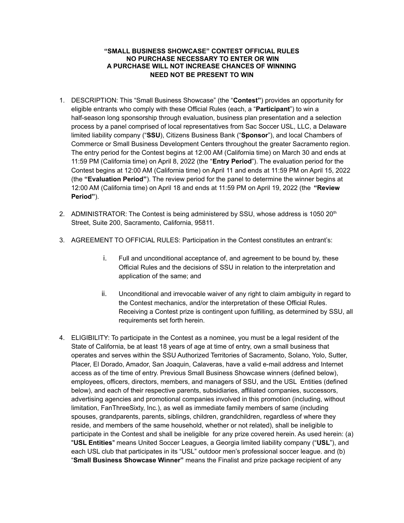## **"SMALL BUSINESS SHOWCASE" CONTEST OFFICIAL RULES NO PURCHASE NECESSARY TO ENTER OR WIN A PURCHASE WILL NOT INCREASE CHANCES OF WINNING NEED NOT BE PRESENT TO WIN**

- 1. DESCRIPTION: This "Small Business Showcase" (the "**Contest"**) provides an opportunity for eligible entrants who comply with these Official Rules (each, a "**Participant**") to win a half-season long sponsorship through evaluation, business plan presentation and a selection process by a panel comprised of local representatives from Sac Soccer USL, LLC, a Delaware limited liability company ("**SSU**), Citizens Business Bank ("**Sponsor**"), and local Chambers of Commerce or Small Business Development Centers throughout the greater Sacramento region. The entry period for the Contest begins at 12:00 AM (California time) on March 30 and ends at 11:59 PM (California time) on April 8, 2022 (the "**Entry Period**"). The evaluation period for the Contest begins at 12:00 AM (California time) on April 11 and ends at 11:59 PM on April 15, 2022 (the **"Evaluation Period"**). The review period for the panel to determine the winner begins at 12:00 AM (California time) on April 18 and ends at 11:59 PM on April 19, 2022 (the **"Review Period"**).
- 2. ADMINISTRATOR: The Contest is being administered by SSU, whose address is 1050  $20<sup>th</sup>$ Street, Suite 200, Sacramento, California, 95811.
- 3. AGREEMENT TO OFFICIAL RULES: Participation in the Contest constitutes an entrant's:
	- i. Full and unconditional acceptance of, and agreement to be bound by, these Official Rules and the decisions of SSU in relation to the interpretation and application of the same; and
	- ii. Unconditional and irrevocable waiver of any right to claim ambiguity in regard to the Contest mechanics, and/or the interpretation of these Official Rules. Receiving a Contest prize is contingent upon fulfilling, as determined by SSU, all requirements set forth herein.
- 4. ELIGIBILITY: To participate in the Contest as a nominee, you must be a legal resident of the State of California, be at least 18 years of age at time of entry, own a small business that operates and serves within the SSU Authorized Territories of Sacramento, Solano, Yolo, Sutter, Placer, El Dorado, Amador, San Joaquin, Calaveras, have a valid e-mail address and Internet access as of the time of entry. Previous Small Business Showcase winners (defined below), employees, officers, directors, members, and managers of SSU, and the USL Entities (defined below), and each of their respective parents, subsidiaries, affiliated companies, successors, advertising agencies and promotional companies involved in this promotion (including, without limitation, FanThreeSixty, Inc.), as well as immediate family members of same (including spouses, grandparents, parents, siblings, children, grandchildren, regardless of where they reside, and members of the same household, whether or not related), shall be ineligible to participate in the Contest and shall be ineligible for any prize covered herein. As used herein: (a) "**USL Entities**" means United Soccer Leagues, a Georgia limited liability company ("**USL**"), and each USL club that participates in its "USL" outdoor men's professional soccer league. and (b) "**Small Business Showcase Winner"** means the Finalist and prize package recipient of any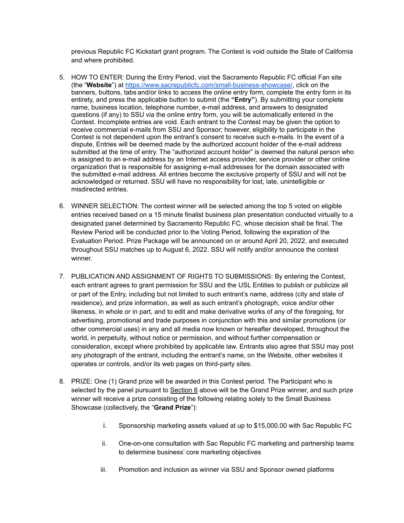previous Republic FC Kickstart grant program. The Contest is void outside the State of California and where prohibited.

- 5. HOW TO ENTER: During the Entry Period, visit the Sacramento Republic FC official Fan site (the "**Website**") at <https://www.sacrepublicfc.com/small-business-showcase/>, click on the banners, buttons, tabs and/or links to access the online entry form, complete the entry form in its entirety, and press the applicable button to submit (the **"Entry"**). By submitting your complete name, business location, telephone number, e-mail address, and answers to designated questions (if any) to SSU via the online entry form, you will be automatically entered in the Contest. Incomplete entries are void. Each entrant to the Contest may be given the option to receive commercial e-mails from SSU and Sponsor; however, eligibility to participate in the Contest is not dependent upon the entrant's consent to receive such e-mails. In the event of a dispute, Entries will be deemed made by the authorized account holder of the e-mail address submitted at the time of entry. The "authorized account holder" is deemed the natural person who is assigned to an e-mail address by an Internet access provider, service provider or other online organization that is responsible for assigning e-mail addresses for the domain associated with the submitted e-mail address. All entries become the exclusive property of SSU and will not be acknowledged or returned. SSU will have no responsibility for lost, late, unintelligible or misdirected entries.
- 6. WINNER SELECTION: The contest winner will be selected among the top 5 voted on eligible entries received based on a 15 minute finalist business plan presentation conducted virtually to a designated panel determined by Sacramento Republic FC, whose decision shall be final. The Review Period will be conducted prior to the Voting Period, following the expiration of the Evaluation Period. Prize Package will be announced on or around April 20, 2022, and executed throughout SSU matches up to August 6, 2022. SSU will notify and/or announce the contest winner.
- 7. PUBLICATION AND ASSIGNMENT OF RIGHTS TO SUBMISSIONS: By entering the Contest, each entrant agrees to grant permission for SSU and the USL Entities to publish or publicize all or part of the Entry, including but not limited to such entrant's name, address (city and state of residence), and prize information, as well as such entrant's photograph, voice and/or other likeness, in whole or in part, and to edit and make derivative works of any of the foregoing, for advertising, promotional and trade purposes in conjunction with this and similar promotions (or other commercial uses) in any and all media now known or hereafter developed, throughout the world, in perpetuity, without notice or permission, and without further compensation or consideration, except where prohibited by applicable law. Entrants also agree that SSU may post any photograph of the entrant, including the entrant's name, on the Website, other websites it operates or controls, and/or its web pages on third-party sites.
- 8. PRIZE: One (1) Grand prize will be awarded in this Contest period. The Participant who is selected by the panel pursuant to Section 6 above will be the Grand Prize winner, and such prize winner will receive a prize consisting of the following relating solely to the Small Business Showcase (collectively, the "**Grand Prize**"):
	- i. Sponsorship marketing assets valued at up to \$15,000.00 with Sac Republic FC
	- ii. One-on-one consultation with Sac Republic FC marketing and partnership teams to determine business' core marketing objectives
	- iii. Promotion and inclusion as winner via SSU and Sponsor owned platforms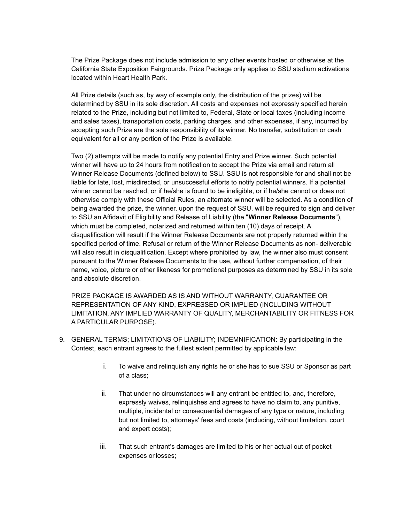The Prize Package does not include admission to any other events hosted or otherwise at the California State Exposition Fairgrounds. Prize Package only applies to SSU stadium activations located within Heart Health Park.

All Prize details (such as, by way of example only, the distribution of the prizes) will be determined by SSU in its sole discretion. All costs and expenses not expressly specified herein related to the Prize, including but not limited to, Federal, State or local taxes (including income and sales taxes), transportation costs, parking charges, and other expenses, if any, incurred by accepting such Prize are the sole responsibility of its winner. No transfer, substitution or cash equivalent for all or any portion of the Prize is available.

Two (2) attempts will be made to notify any potential Entry and Prize winner. Such potential winner will have up to 24 hours from notification to accept the Prize via email and return all Winner Release Documents (defined below) to SSU. SSU is not responsible for and shall not be liable for late, lost, misdirected, or unsuccessful efforts to notify potential winners. If a potential winner cannot be reached, or if he/she is found to be ineligible, or if he/she cannot or does not otherwise comply with these Official Rules, an alternate winner will be selected. As a condition of being awarded the prize, the winner, upon the request of SSU, will be required to sign and deliver to SSU an Affidavit of Eligibility and Release of Liability (the "**Winner Release Documents**"), which must be completed, notarized and returned within ten (10) days of receipt. A disqualification will result if the Winner Release Documents are not properly returned within the specified period of time. Refusal or return of the Winner Release Documents as non- deliverable will also result in disqualification. Except where prohibited by law, the winner also must consent pursuant to the Winner Release Documents to the use, without further compensation, of their name, voice, picture or other likeness for promotional purposes as determined by SSU in its sole and absolute discretion.

PRIZE PACKAGE IS AWARDED AS IS AND WITHOUT WARRANTY, GUARANTEE OR REPRESENTATION OF ANY KIND, EXPRESSED OR IMPLIED (INCLUDING WITHOUT LIMITATION, ANY IMPLIED WARRANTY OF QUALITY, MERCHANTABILITY OR FITNESS FOR A PARTICULAR PURPOSE).

- 9. GENERAL TERMS; LIMITATIONS OF LIABILITY; INDEMNIFICATION: By participating in the Contest, each entrant agrees to the fullest extent permitted by applicable law:
	- i. To waive and relinquish any rights he or she has to sue SSU or Sponsor as part of a class;
	- ii. That under no circumstances will any entrant be entitled to, and, therefore, expressly waives, relinquishes and agrees to have no claim to, any punitive, multiple, incidental or consequential damages of any type or nature, including but not limited to, attorneys' fees and costs (including, without limitation, court and expert costs);
	- iii. That such entrant's damages are limited to his or her actual out of pocket expenses or losses;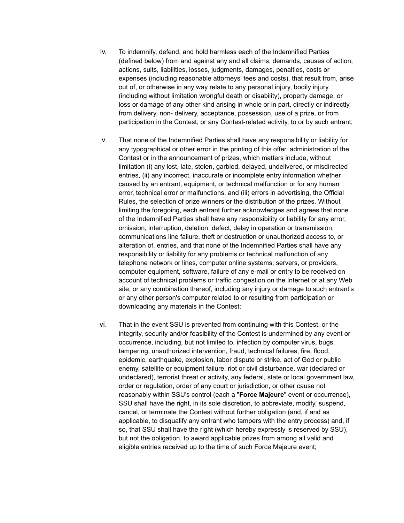- iv. To indemnify, defend, and hold harmless each of the Indemnified Parties (defined below) from and against any and all claims, demands, causes of action, actions, suits, liabilities, losses, judgments, damages, penalties, costs or expenses (including reasonable attorneys' fees and costs), that result from, arise out of, or otherwise in any way relate to any personal injury, bodily injury (including without limitation wrongful death or disability), property damage, or loss or damage of any other kind arising in whole or in part, directly or indirectly, from delivery, non- delivery, acceptance, possession, use of a prize, or from participation in the Contest, or any Contest-related activity, to or by such entrant;
- v. That none of the Indemnified Parties shall have any responsibility or liability for any typographical or other error in the printing of this offer, administration of the Contest or in the announcement of prizes, which matters include, without limitation (i) any lost, late, stolen, garbled, delayed, undelivered, or misdirected entries, (ii) any incorrect, inaccurate or incomplete entry information whether caused by an entrant, equipment, or technical malfunction or for any human error, technical error or malfunctions, and (iii) errors in advertising, the Official Rules, the selection of prize winners or the distribution of the prizes. Without limiting the foregoing, each entrant further acknowledges and agrees that none of the Indemnified Parties shall have any responsibility or liability for any error, omission, interruption, deletion, defect, delay in operation or transmission, communications line failure, theft or destruction or unauthorized access to, or alteration of, entries, and that none of the Indemnified Parties shall have any responsibility or liability for any problems or technical malfunction of any telephone network or lines, computer online systems, servers, or providers, computer equipment, software, failure of any e-mail or entry to be received on account of technical problems or traffic congestion on the Internet or at any Web site, or any combination thereof, including any injury or damage to such entrant's or any other person's computer related to or resulting from participation or downloading any materials in the Contest;
- vi. That in the event SSU is prevented from continuing with this Contest, or the integrity, security and/or feasibility of the Contest is undermined by any event or occurrence, including, but not limited to, infection by computer virus, bugs, tampering, unauthorized intervention, fraud, technical failures, fire, flood, epidemic, earthquake, explosion, labor dispute or strike, act of God or public enemy, satellite or equipment failure, riot or civil disturbance, war (declared or undeclared), terrorist threat or activity, any federal, state or local government law, order or regulation, order of any court or jurisdiction, or other cause not reasonably within SSU's control (each a "**Force Majeure**" event or occurrence), SSU shall have the right, in its sole discretion, to abbreviate, modify, suspend, cancel, or terminate the Contest without further obligation (and, if and as applicable, to disqualify any entrant who tampers with the entry process) and, if so, that SSU shall have the right (which hereby expressly is reserved by SSU), but not the obligation, to award applicable prizes from among all valid and eligible entries received up to the time of such Force Majeure event;